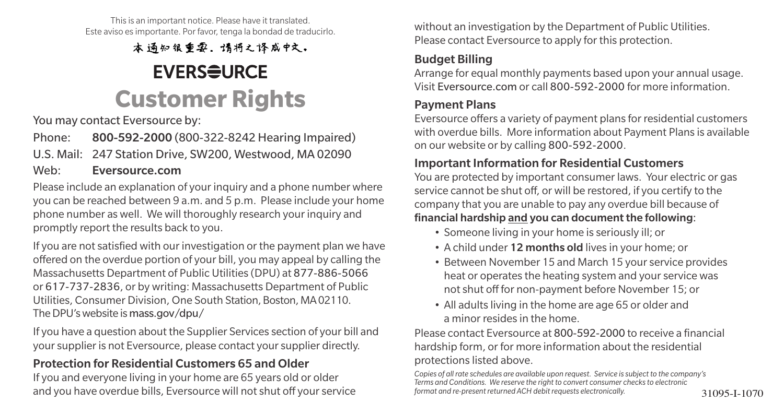This is an important notice. Please have it translated. Este aviso es importante. Por favor, tenga la bondad de traducirlo.

本通知很重要。请将之译成中文。

## **EVERSEURCE Customer Rights**

You may contact Eversource by:

Phone: 800-592-2000 (800-322-8242 Hearing Impaired)

U.S. Mail: 247 Station Drive, SW200, Westwood, MA 02090

#### Web: Eversource.com

Please include an explanation of your inquiry and a phone number where you can be reached between 9 a.m. and 5 p.m. Please include your home phone number as well. We will thoroughly research your inquiry and promptly report the results back to you.

If you are not satisfied with our investigation or the payment plan we have offered on the overdue portion of your bill, you may appeal by calling the Massachusetts Department of Public Utilities (DPU) at 877-886-5066 or 617-737-2836, or by writing: Massachusetts Department of Public Utilities, Consumer Division, One South Station, Boston, MA 02110. The DPU's website is mass.gov/dpu/

If you have a question about the Supplier Services section of your bill and your supplier is not Eversource, please contact your supplier directly.

#### Protection for Residential Customers 65 and Older

If you and everyone living in your home are 65 years old or older and you have overdue bills, Eversource will not shut off your service formational re-present returned ACH debit requests electronically. 31095-I-1070

without an investigation by the Department of Public Utilities. Please contact Eversource to apply for this protection.

#### Budget Billing

Arrange for equal monthly payments based upon your annual usage. Visit Eversource.com or call 800-592-2000 for more information.

#### Payment Plans

Eversource offers a variety of payment plans for residential customers with overdue bills. More information about Payment Plans is available on our website or by calling 800-592-2000.

#### Important Information for Residential Customers

You are protected by important consumer laws. Your electric or gas service cannot be shut off, or will be restored, if you certify to the company that you are unable to pay any overdue bill because of financial hardship and you can document the following:

- Someone living in your home is seriously ill; or
- A child under 12 months old lives in your home; or
- Between November 15 and March 15 your service provides heat or operates the heating system and your service was not shut off for non-payment before November 15; or
- All adults living in the home are age 65 or older and a minor resides in the home.

Please contact Eversource at 800-592-2000 to receive a financial hardship form, or for more information about the residential protections listed above.

*Copies of all rate schedules are available upon request. Service is subject to the company's Terms and Conditions. We reserve the right to convert consumer checks to electronic format and re-present returned ACH debit requests electronically.*